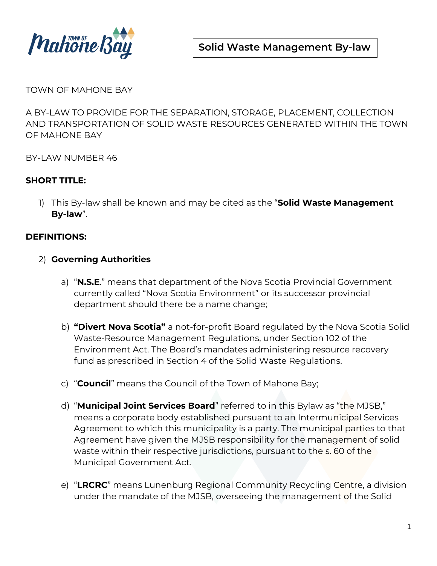

TOWN OF MAHONE BAY

A BY‐LAW TO PROVIDE FOR THE SEPARATION, STORAGE, PLACEMENT, COLLECTION AND TRANSPORTATION OF SOLID WASTE RESOURCES GENERATED WITHIN THE TOWN OF MAHONE BAY

BY‐LAW NUMBER 46

### **SHORT TITLE:**

1) This By‐law shall be known and may be cited as the "**Solid Waste Management By‐law**".

### **DEFINITIONS:**

- 2) **Governing Authorities**
	- a) "**N.S.E**." means that department of the Nova Scotia Provincial Government currently called "Nova Scotia Environment" or its successor provincial department should there be a name change;
	- b) **"Divert Nova Scotia"** a not-for-profit Board regulated by the Nova Scotia Solid Waste-Resource Management Regulations, under Section 102 of the Environment Act. The Board's mandates administering resource recovery fund as prescribed in Section 4 of the Solid Waste Regulations.
	- c) "**Council**" means the Council of the Town of Mahone Bay;
	- d) "**Municipal Joint Services Board**" referred to in this Bylaw as "the MJSB," means a corporate body established pursuant to an Intermunicipal Services Agreement to which this municipality is a party. The municipal parties to that Agreement have given the MJSB responsibility for the management of solid waste within their respective jurisdictions, pursuant to the s. 60 of the Municipal Government Act.
	- e) "**LRCRC**" means Lunenburg Regional Community Recycling Centre, a division under the mandate of the MJSB, overseeing the management of the Solid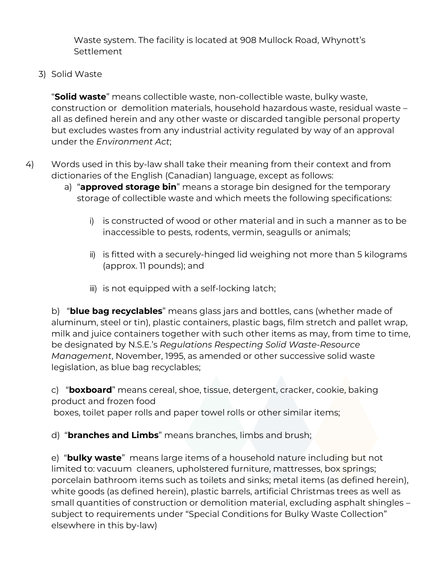Waste system. The facility is located at 908 Mullock Road, Whynott's **Settlement** 

3) Solid Waste

"**Solid waste**" means collectible waste, non‐collectible waste, bulky waste, construction or demolition materials, household hazardous waste, residual waste – all as defined herein and any other waste or discarded tangible personal property but excludes wastes from any industrial activity regulated by way of an approval under the *Environment Act*;

- 4) Words used in this by‐law shall take their meaning from their context and from dictionaries of the English (Canadian) language, except as follows:
	- a) "**approved storage bin**" means a storage bin designed for the temporary storage of collectible waste and which meets the following specifications:
		- i) is constructed of wood or other material and in such a manner as to be inaccessible to pests, rodents, vermin, seagulls or animals;
		- ii) is fitted with a securely‐hinged lid weighing not more than 5 kilograms (approx. 11 pounds); and
		- iii) is not equipped with a self‐locking latch;

b) "**blue bag recyclables**" means glass jars and bottles, cans (whether made of aluminum, steel or tin), plastic containers, plastic bags, film stretch and pallet wrap, milk and juice containers together with such other items as may, from time to time, be designated by N.S.E.'s *Regulations Respecting Solid Waste‐Resource Management*, November, 1995, as amended or other successive solid waste legislation, as blue bag recyclables;

c) "**boxboard**" means cereal, shoe, tissue, detergent, cracker, cookie, baking product and frozen food

boxes, toilet paper rolls and paper towel rolls or other similar items;

d) "**branches and Limbs**" means branches, limbs and brush;

e) "**bulky waste**" means large items of a household nature including but not limited to: vacuum cleaners, upholstered furniture, mattresses, box springs; porcelain bathroom items such as toilets and sinks; metal items (as defined herein), white goods (as defined herein), plastic barrels, artificial Christmas trees as well as small quantities of construction or demolition material, excluding asphalt shingles – subject to requirements under "Special Conditions for Bulky Waste Collection" elsewhere in this by-law)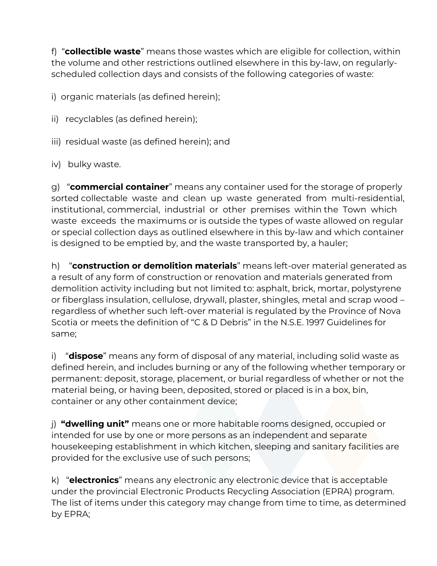f) "**collectible waste**" means those wastes which are eligible for collection, within the volume and other restrictions outlined elsewhere in this by‐law, on regularly‐ scheduled collection days and consists of the following categories of waste:

i) organic materials (as defined herein);

- ii) recyclables (as defined herein);
- iii) residual waste (as defined herein); and
- iv) bulky waste.

g) "**commercial container**" means any container used for the storage of properly sorted collectable waste and clean up waste generated from multi-residential, institutional, commercial, industrial or other premises within the Town which waste exceeds the maximums or is outside the types of waste allowed on regular or special collection days as outlined elsewhere in this by‐law and which container is designed to be emptied by, and the waste transported by, a hauler;

h) "**construction or demolition materials**" means left‐over material generated as a result of any form of construction or renovation and materials generated from demolition activity including but not limited to: asphalt, brick, mortar, polystyrene or fiberglass insulation, cellulose, drywall, plaster, shingles, metal and scrap wood – regardless of whether such left‐over material is regulated by the Province of Nova Scotia or meets the definition of "C & D Debris" in the N.S.E. 1997 Guidelines for same;

i) "**dispose**" means any form of disposal of any material, including solid waste as defined herein, and includes burning or any of the following whether temporary or permanent: deposit, storage, placement, or burial regardless of whether or not the material being, or having been, deposited, stored or placed is in a box, bin, container or any other containment device;

j) **"dwelling unit"** means one or more habitable rooms designed, occupied or intended for use by one or more persons as an independent and separate housekeeping establishment in which kitchen, sleeping and sanitary facilities are provided for the exclusive use of such persons;

k) "**electronics**" means any electronic any electronic device that is acceptable under the provincial Electronic Products Recycling Association (EPRA) program. The list of items under this category may change from time to time, as determined by EPRA;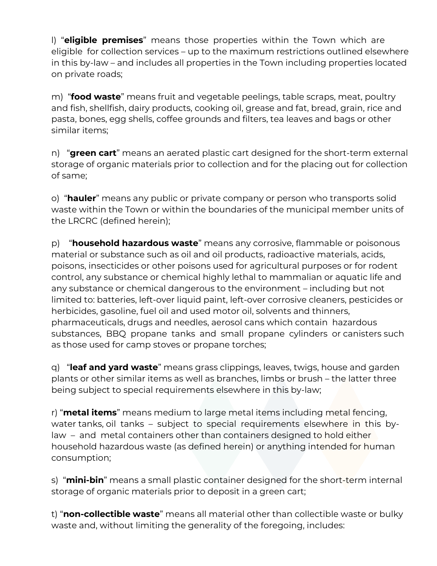l) "**eligible premises**" means those properties within the Town which are eligible for collection services – up to the maximum restrictions outlined elsewhere in this by‐law – and includes all properties in the Town including properties located on private roads;

m) "**food waste**" means fruit and vegetable peelings, table scraps, meat, poultry and fish, shellfish, dairy products, cooking oil, grease and fat, bread, grain, rice and pasta, bones, egg shells, coffee grounds and filters, tea leaves and bags or other similar items;

n) "green cart" means an aerated plastic cart designed for the short-term external storage of organic materials prior to collection and for the placing out for collection of same;

o) "**hauler**" means any public or private company or person who transports solid waste within the Town or within the boundaries of the municipal member units of the LRCRC (defined herein);

p) "**household hazardous waste**" means any corrosive, flammable or poisonous material or substance such as oil and oil products, radioactive materials, acids, poisons, insecticides or other poisons used for agricultural purposes or for rodent control, any substance or chemical highly lethal to mammalian or aquatic life and any substance or chemical dangerous to the environment – including but not limited to: batteries, left‐over liquid paint, left‐over corrosive cleaners, pesticides or herbicides, gasoline, fuel oil and used motor oil, solvents and thinners, pharmaceuticals, drugs and needles, aerosol cans which contain hazardous substances, BBQ propane tanks and small propane cylinders or canisters such as those used for camp stoves or propane torches;

q) "**leaf and yard waste**" means grass clippings, leaves, twigs, house and garden plants or other similar items as well as branches, limbs or brush – the latter three being subject to special requirements elsewhere in this by‐law;

r) "**metal items**" means medium to large metal items including metal fencing, water tanks, oil tanks – subject to special requirements elsewhere in this by‐ law – and metal containers other than containers designed to hold either household hazardous waste (as defined herein) or anything intended for human consumption;

s) "mini-bin" means a small plastic container designed for the short-term internal storage of organic materials prior to deposit in a green cart;

t) "**non‐collectible waste**" means all material other than collectible waste or bulky waste and, without limiting the generality of the foregoing, includes: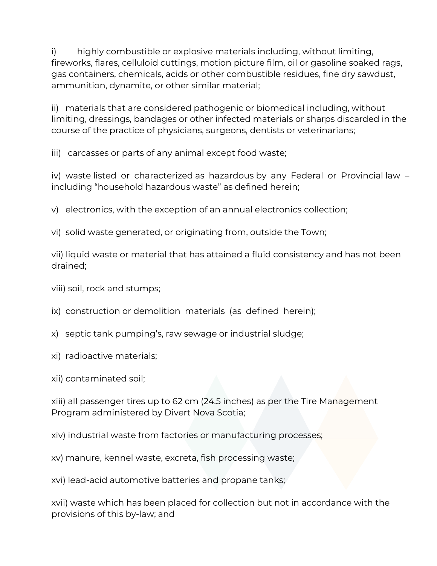i) highly combustible or explosive materials including, without limiting, fireworks, flares, celluloid cuttings, motion picture film, oil or gasoline soaked rags, gas containers, chemicals, acids or other combustible residues, fine dry sawdust, ammunition, dynamite, or other similar material;

ii) materials that are considered pathogenic or biomedical including, without limiting, dressings, bandages or other infected materials or sharps discarded in the course of the practice of physicians, surgeons, dentists or veterinarians;

iii) carcasses or parts of any animal except food waste;

iv) waste listed or characterized as hazardous by any Federal or Provincial law – including "household hazardous waste" as defined herein;

v) electronics, with the exception of an annual electronics collection;

vi) solid waste generated, or originating from, outside the Town;

vii) liquid waste or material that has attained a fluid consistency and has not been drained;

viii) soil, rock and stumps;

- ix) construction or demolition materials (as defined herein);
- x) septic tank pumping's, raw sewage or industrial sludge;
- xi) radioactive materials;
- xii) contaminated soil;

xiii) all passenger tires up to 62 cm (24.5 inches) as per the Tire Management Program administered by Divert Nova Scotia;

xiv) industrial waste from factories or manufacturing processes;

xv) manure, kennel waste, excreta, fish processing waste;

xvi) lead‐acid automotive batteries and propane tanks;

xvii) waste which has been placed for collection but not in accordance with the provisions of this by‐law; and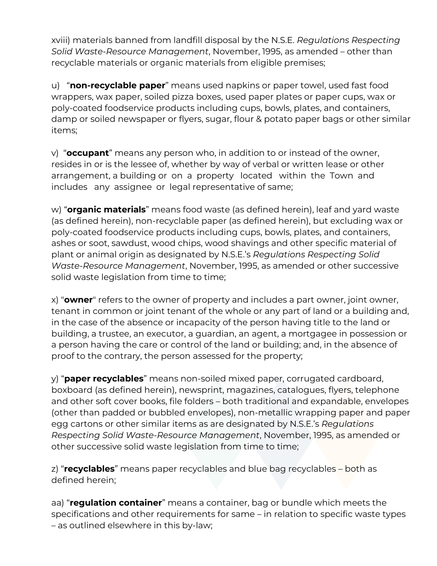xviii) materials banned from landfill disposal by the N.S.E. *Regulations Respecting Solid Waste‐Resource Management*, November, 1995, as amended – other than recyclable materials or organic materials from eligible premises;

u) "**non‐recyclable paper**" means used napkins or paper towel, used fast food wrappers, wax paper, soiled pizza boxes, used paper plates or paper cups, wax or poly-coated foodservice products including cups, bowls, plates, and containers, damp or soiled newspaper or flyers, sugar, flour & potato paper bags or other similar items;

v) "**occupant**" means any person who, in addition to or instead of the owner, resides in or is the lessee of, whether by way of verbal or written lease or other arrangement, a building or on a property located within the Town and includes any assignee or legal representative of same;

w) "**organic materials**" means food waste (as defined herein), leaf and yard waste (as defined herein), non‐recyclable paper (as defined herein), but excluding wax or poly-coated foodservice products including cups, bowls, plates, and containers, ashes or soot, sawdust, wood chips, wood shavings and other specific material of plant or animal origin as designated by N.S.E.'s *Regulations Respecting Solid Waste‐Resource Management*, November, 1995, as amended or other successive solid waste legislation from time to time;

x) "**owner**" refers to the owner of property and includes a part owner, joint owner, tenant in common or joint tenant of the whole or any part of land or a building and, in the case of the absence or incapacity of the person having title to the land or building, a trustee, an executor, a guardian, an agent, a mortgagee in possession or a person having the care or control of the land or building; and, in the absence of proof to the contrary, the person assessed for the property;

y) "**paper recyclables**" means non‐soiled mixed paper, corrugated cardboard, boxboard (as defined herein), newsprint, magazines, catalogues, flyers, telephone and other soft cover books, file folders – both traditional and expandable, envelopes (other than padded or bubbled envelopes), non‐metallic wrapping paper and paper egg cartons or other similar items as are designated by N.S.E.'s *Regulations Respecting Solid Waste‐Resource Management*, November, 1995, as amended or other successive solid waste legislation from time to time;

z) "**recyclables**" means paper recyclables and blue bag recyclables – both as defined herein;

aa) "**regulation container**" means a container, bag or bundle which meets the specifications and other requirements for same – in relation to specific waste types – as outlined elsewhere in this by‐law;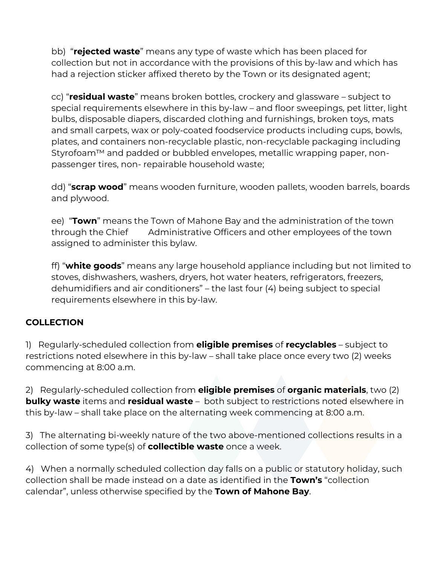bb) "**rejected waste**" means any type of waste which has been placed for collection but not in accordance with the provisions of this by‐law and which has had a rejection sticker affixed thereto by the Town or its designated agent;

cc) "**residual waste**" means broken bottles, crockery and glassware – subject to special requirements elsewhere in this by-law – and floor sweepings, pet litter, light bulbs, disposable diapers, discarded clothing and furnishings, broken toys, mats and small carpets, wax or poly-coated foodservice products including cups, bowls, plates, and containers non‐recyclable plastic, non‐recyclable packaging including Styrofoam™ and padded or bubbled envelopes, metallic wrapping paper, nonpassenger tires, non- repairable household waste;

dd) "**scrap wood**" means wooden furniture, wooden pallets, wooden barrels, boards and plywood.

ee) "**Town**" means the Town of Mahone Bay and the administration of the town through the Chief Administrative Officers and other employees of the town assigned to administer this bylaw.

ff) "**white goods**" means any large household appliance including but not limited to stoves, dishwashers, washers, dryers, hot water heaters, refrigerators, freezers, dehumidifiers and air conditioners" – the last four (4) being subject to special requirements elsewhere in this by‐law.

### **COLLECTION**

1) Regularly‐scheduled collection from **eligible premises** of **recyclables** – subject to restrictions noted elsewhere in this by‐law – shall take place once every two (2) weeks commencing at 8:00 a.m.

2) Regularly‐scheduled collection from **eligible premises** of **organic materials**, two (2) **bulky waste** items and **residual waste** – both subject to restrictions noted elsewhere in this by-law – shall take place on the alternating week commencing at 8:00 a.m.

3) The alternating bi-weekly nature of the two above-mentioned collections results in a collection of some type(s) of **collectible waste** once a week.

4) When a normally scheduled collection day falls on a public or statutory holiday, such collection shall be made instead on a date as identified in the **Town's** "collection calendar", unless otherwise specified by the **Town of Mahone Bay**.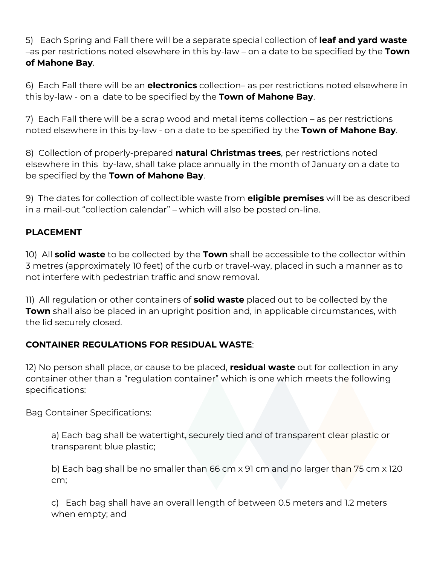5) Each Spring and Fall there will be a separate special collection of **leaf and yard waste** –as per restrictions noted elsewhere in this by‐law – on a date to be specified by the **Town of Mahone Bay**.

6) Each Fall there will be an **electronics** collection– as per restrictions noted elsewhere in this by‐law - on a date to be specified by the **Town of Mahone Bay**.

7) Each Fall there will be a scrap wood and metal items collection – as per restrictions noted elsewhere in this by‐law - on a date to be specified by the **Town of Mahone Bay**.

8) Collection of properly‐prepared **natural Christmas trees**, per restrictions noted elsewhere in this by‐law, shall take place annually in the month of January on a date to be specified by the **Town of Mahone Bay**.

9) The dates for collection of collectible waste from **eligible premises** will be as described in a mail-out "collection calendar" – which will also be posted on‐line.

## **PLACEMENT**

10) All **solid waste** to be collected by the **Town** shall be accessible to the collector within 3 metres (approximately 10 feet) of the curb or travel-way, placed in such a manner as to not interfere with pedestrian traffic and snow removal.

11) All regulation or other containers of **solid waste** placed out to be collected by the **Town** shall also be placed in an upright position and, in applicable circumstances, with the lid securely closed.

### **CONTAINER REGULATIONS FOR RESIDUAL WASTE**:

12) No person shall place, or cause to be placed, **residual waste** out for collection in any container other than a "regulation container" which is one which meets the following specifications:

Bag Container Specifications:

a) Each bag shall be watertight, securely tied and of transparent clear plastic or transparent blue plastic;

b) Each bag shall be no smaller than 66 cm x 91 cm and no larger than 75 cm x 120 cm;

c) Each bag shall have an overall length of between 0.5 meters and 1.2 meters when empty; and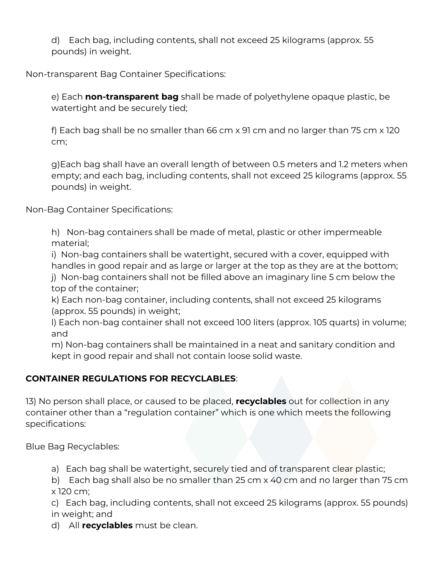d) Each bag, including contents, shall not exceed 25 kilograms (approx. 55 pounds) in weight.

Non-transparent Bag Container Specifications:

e) Each **non-transparent bag** shall be made of polyethylene opaque plastic, be watertight and be securely tied;

f) Each bag shall be no smaller than 66 cm x 91 cm and no larger than 75 cm x 120 cm;

g)Each bag shall have an overall length of between 0.5 meters and 1.2 meters when empty; and each bag, including contents, shall not exceed 25 kilograms (approx. 55 pounds) in weight.

Non‐Bag Container Specifications:

h) Non‐bag containers shall be made of metal, plastic or other impermeable material;

i) Non‐bag containers shall be watertight, secured with a cover, equipped with handles in good repair and as large or larger at the top as they are at the bottom;

j) Non‐bag containers shall not be filled above an imaginary line 5 cm below the top of the container;

k) Each non‐bag container, including contents, shall not exceed 25 kilograms (approx. 55 pounds) in weight;

l) Each non‐bag container shall not exceed 100 liters (approx. 105 quarts) in volume; and

m) Non‐bag containers shall be maintained in a neat and sanitary condition and kept in good repair and shall not contain loose solid waste.

# **CONTAINER REGULATIONS FOR RECYCLABLES**:

13) No person shall place, or caused to be placed, **recyclables** out for collection in any container other than a "regulation container" which is one which meets the following specifications:

Blue Bag Recyclables:

a) Each bag shall be watertight, securely tied and of transparent clear plastic;

b) Each bag shall also be no smaller than 25 cm x 40 cm and no larger than 75 cm x 120 cm;

c) Each bag, including contents, shall not exceed 25 kilograms (approx. 55 pounds) in weight; and

d) All **recyclables** must be clean.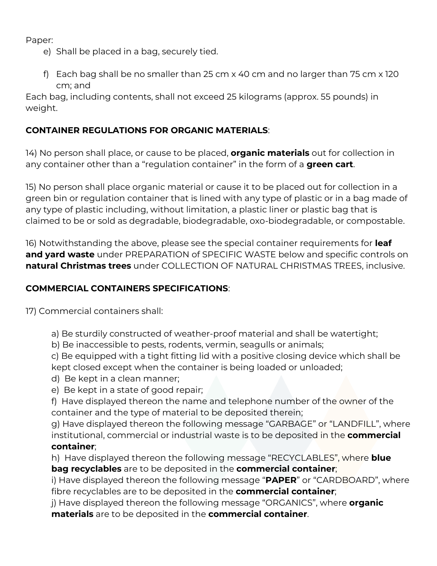Paper:

- e) Shall be placed in a bag, securely tied.
- f) Each bag shall be no smaller than 25 cm x 40 cm and no larger than 75 cm x 120 cm; and

Each bag, including contents, shall not exceed 25 kilograms (approx. 55 pounds) in weight.

## **CONTAINER REGULATIONS FOR ORGANIC MATERIALS**:

14) No person shall place, or cause to be placed, **organic materials** out for collection in any container other than a "regulation container" in the form of a **green cart**.

15) No person shall place organic material or cause it to be placed out for collection in a green bin or regulation container that is lined with any type of plastic or in a bag made of any type of plastic including, without limitation, a plastic liner or plastic bag that is claimed to be or sold as degradable, biodegradable, oxo-biodegradable, or compostable.

16) Notwithstanding the above, please see the special container requirements for **leaf and yard waste** under PREPARATION of SPECIFIC WASTE below and specific controls on **natural Christmas trees** under COLLECTION OF NATURAL CHRISTMAS TREES, inclusive.

### **COMMERCIAL CONTAINERS SPECIFICATIONS**:

17) Commercial containers shall:

- a) Be sturdily constructed of weather‐proof material and shall be watertight;
- b) Be inaccessible to pests, rodents, vermin, seagulls or animals;
- c) Be equipped with a tight fitting lid with a positive closing device which shall be kept closed except when the container is being loaded or unloaded;
- d) Be kept in a clean manner;
- e) Be kept in a state of good repair;
- f) Have displayed thereon the name and telephone number of the owner of the container and the type of material to be deposited therein;

g) Have displayed thereon the following message "GARBAGE" or "LANDFILL", where institutional, commercial or industrial waste is to be deposited in the **commercial container**;

h) Have displayed thereon the following message "RECYCLABLES", where **blue bag recyclables** are to be deposited in the **commercial container**;

i) Have displayed thereon the following message "**PAPER**" or "CARDBOARD", where fibre recyclables are to be deposited in the **commercial container**;

j) Have displayed thereon the following message "ORGANICS", where **organic materials** are to be deposited in the **commercial container**.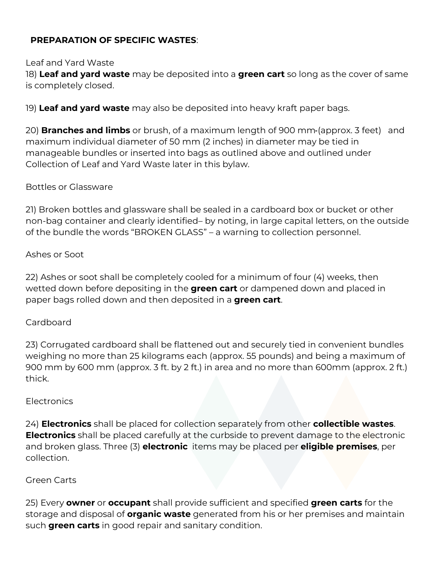### **PREPARATION OF SPECIFIC WASTES**:

### Leaf and Yard Waste

18) **Leaf and yard waste** may be deposited into a **green cart** so long as the cover of same is completely closed.

19) **Leaf and yard waste** may also be deposited into heavy kraft paper bags.

20) **Branches and limbs** or brush, of a maximum length of 900 mm (approx. 3 feet) and maximum individual diameter of 50 mm (2 inches) in diameter may be tied in manageable bundles or inserted into bags as outlined above and outlined under Collection of Leaf and Yard Waste later in this bylaw.

### Bottles or Glassware

21) Broken bottles and glassware shall be sealed in a cardboard box or bucket or other non-bag container and clearly identified– by noting, in large capital letters, on the outside of the bundle the words "BROKEN GLASS" – a warning to collection personnel.

### Ashes or Soot

22) Ashes or soot shall be completely cooled for a minimum of four (4) weeks, then wetted down before depositing in the **green cart** or dampened down and placed in paper bags rolled down and then deposited in a **green cart**.

### Cardboard

23) Corrugated cardboard shall be flattened out and securely tied in convenient bundles weighing no more than 25 kilograms each (approx. 55 pounds) and being a maximum of 900 mm by 600 mm (approx. 3 ft. by 2 ft.) in area and no more than 600mm (approx. 2 ft.) thick.

### Electronics

24) **Electronics** shall be placed for collection separately from other **collectible wastes**. **Electronics** shall be placed carefully at the curbside to prevent damage to the electronic and broken glass. Three (3) **electronic** items may be placed per **eligible premises**, per collection.

### Green Carts

25) Every **owner** or **occupant** shall provide sufficient and specified **green carts** for the storage and disposal of **organic waste** generated from his or her premises and maintain such **green carts** in good repair and sanitary condition.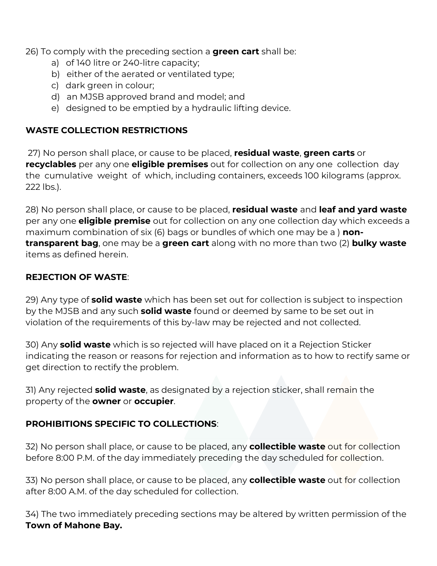26) To comply with the preceding section a **green cart** shall be:

- a) of 140 litre or 240‐litre capacity;
- b) either of the aerated or ventilated type;
- c) dark green in colour;
- d) an MJSB approved brand and model; and
- e) designed to be emptied by a hydraulic lifting device.

## **WASTE COLLECTION RESTRICTIONS**

27) No person shall place, or cause to be placed, **residual waste**, **green carts** or **recyclables** per any one **eligible premises** out for collection on any one collection day the cumulative weight of which, including containers, exceeds 100 kilograms (approx. 222 lbs.).

28) No person shall place, or cause to be placed, **residual waste** and **leaf and yard waste** per any one **eligible premise** out for collection on any one collection day which exceeds a maximum combination of six (6) bags or bundles of which one may be a ) **nontransparent bag**, one may be a **green cart** along with no more than two (2) **bulky waste** items as defined herein.

### **REJECTION OF WASTE**:

29) Any type of **solid waste** which has been set out for collection is subject to inspection by the MJSB and any such **solid waste** found or deemed by same to be set out in violation of the requirements of this by‐law may be rejected and not collected.

30) Any **solid waste** which is so rejected will have placed on it a Rejection Sticker indicating the reason or reasons for rejection and information as to how to rectify same or get direction to rectify the problem.

31) Any rejected **solid waste**, as designated by a rejection sticker, shall remain the property of the **owner** or **occupier**.

# **PROHIBITIONS SPECIFIC TO COLLECTIONS**:

32) No person shall place, or cause to be placed, any **collectible waste** out for collection before 8:00 P.M. of the day immediately preceding the day scheduled for collection.

33) No person shall place, or cause to be placed, any **collectible waste** out for collection after 8:00 A.M. of the day scheduled for collection.

34) The two immediately preceding sections may be altered by written permission of the **Town of Mahone Bay.**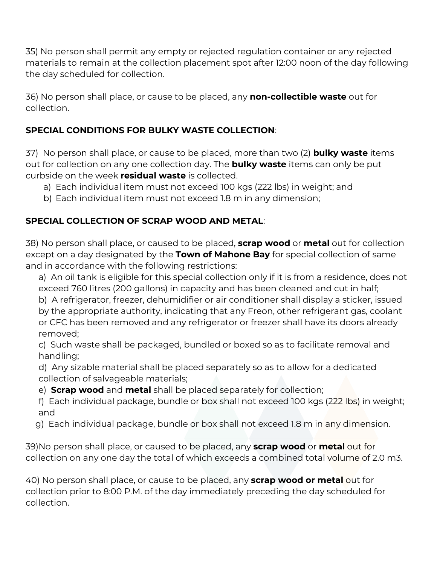35) No person shall permit any empty or rejected regulation container or any rejected materials to remain at the collection placement spot after 12:00 noon of the day following the day scheduled for collection.

36) No person shall place, or cause to be placed, any **non‐collectible waste** out for collection.

## **SPECIAL CONDITIONS FOR BULKY WASTE COLLECTION**:

37) No person shall place, or cause to be placed, more than two (2) **bulky waste** items out for collection on any one collection day. The **bulky waste** items can only be put curbside on the week **residual waste** is collected.

- a) Each individual item must not exceed 100 kgs (222 lbs) in weight; and
- b) Each individual item must not exceed 1.8 m in any dimension;

# **SPECIAL COLLECTION OF SCRAP WOOD AND METAL**:

38) No person shall place, or caused to be placed, **scrap wood** or **metal** out for collection except on a day designated by the **Town of Mahone Bay** for special collection of same and in accordance with the following restrictions:

- a) An oil tank is eligible for this special collection only if it is from a residence, does not exceed 760 litres (200 gallons) in capacity and has been cleaned and cut in half;
- b) A refrigerator, freezer, dehumidifier or air conditioner shall display a sticker, issued by the appropriate authority, indicating that any Freon, other refrigerant gas, coolant or CFC has been removed and any refrigerator or freezer shall have its doors already removed;

c) Such waste shall be packaged, bundled or boxed so as to facilitate removal and handling;

d) Any sizable material shall be placed separately so as to allow for a dedicated collection of salvageable materials;

e) **Scrap wood** and **metal** shall be placed separately for collection;

f) Each individual package, bundle or box shall not exceed 100 kgs (222 lbs) in weight; and

g) Each individual package, bundle or box shall not exceed 1.8 m in any dimension.

39)No person shall place, or caused to be placed, any **scrap wood** or **metal** out for collection on any one day the total of which exceeds a combined total volume of 2.0 m3.

40) No person shall place, or cause to be placed, any **scrap wood or metal** out for collection prior to 8:00 P.M. of the day immediately preceding the day scheduled for collection.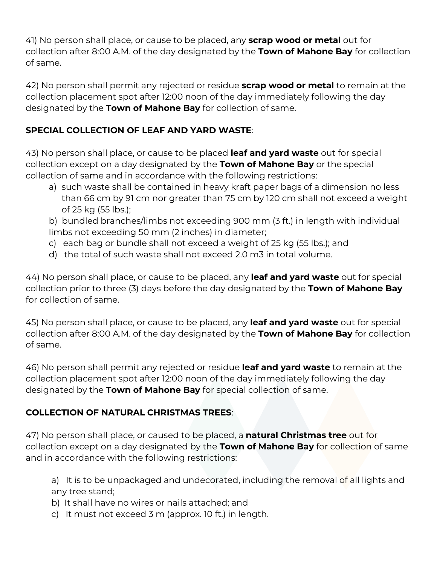41) No person shall place, or cause to be placed, any **scrap wood or metal** out for collection after 8:00 A.M. of the day designated by the **Town of Mahone Bay** for collection of same.

42) No person shall permit any rejected or residue **scrap wood or metal** to remain at the collection placement spot after 12:00 noon of the day immediately following the day designated by the **Town of Mahone Bay** for collection of same.

# **SPECIAL COLLECTION OF LEAF AND YARD WASTE**:

43) No person shall place, or cause to be placed **leaf and yard waste** out for special collection except on a day designated by the **Town of Mahone Bay** or the special collection of same and in accordance with the following restrictions:

- a) such waste shall be contained in heavy kraft paper bags of a dimension no less than 66 cm by 91 cm nor greater than 75 cm by 120 cm shall not exceed a weight of 25 kg (55 lbs.);
- b) bundled branches/limbs not exceeding 900 mm (3 ft.) in length with individual limbs not exceeding 50 mm (2 inches) in diameter;
- c) each bag or bundle shall not exceed a weight of 25 kg (55 lbs.); and
- d) the total of such waste shall not exceed 2.0 m3 in total volume.

44) No person shall place, or cause to be placed, any **leaf and yard waste** out for special collection prior to three (3) days before the day designated by the **Town of Mahone Bay** for collection of same.

45) No person shall place, or cause to be placed, any **leaf and yard waste** out for special collection after 8:00 A.M. of the day designated by the **Town of Mahone Bay** for collection of same.

46) No person shall permit any rejected or residue **leaf and yard waste** to remain at the collection placement spot after 12:00 noon of the day immediately following the day designated by the **Town of Mahone Bay** for special collection of same.

# **COLLECTION OF NATURAL CHRISTMAS TREES**:

47) No person shall place, or caused to be placed, a **natural Christmas tree** out for collection except on a day designated by the **Town of Mahone Bay** for collection of same and in accordance with the following restrictions:

a) It is to be unpackaged and undecorated, including the removal of all lights and any tree stand;

b) It shall have no wires or nails attached; and

c) It must not exceed 3 m (approx. 10 ft.) in length.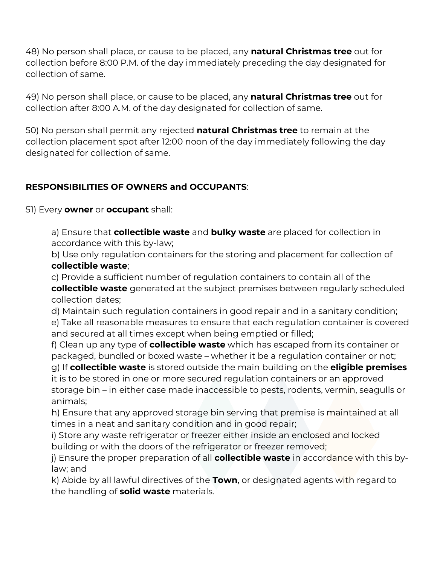48) No person shall place, or cause to be placed, any **natural Christmas tree** out for collection before 8:00 P.M. of the day immediately preceding the day designated for collection of same.

49) No person shall place, or cause to be placed, any **natural Christmas tree** out for collection after 8:00 A.M. of the day designated for collection of same.

50) No person shall permit any rejected **natural Christmas tree** to remain at the collection placement spot after 12:00 noon of the day immediately following the day designated for collection of same.

# **RESPONSIBILITIES OF OWNERS and OCCUPANTS**:

51) Every **owner** or **occupant** shall:

a) Ensure that **collectible waste** and **bulky waste** are placed for collection in accordance with this by‐law;

b) Use only regulation containers for the storing and placement for collection of **collectible waste**;

c) Provide a sufficient number of regulation containers to contain all of the **collectible waste** generated at the subject premises between regularly scheduled collection dates;

d) Maintain such regulation containers in good repair and in a sanitary condition;

e) Take all reasonable measures to ensure that each regulation container is covered and secured at all times except when being emptied or filled;

f) Clean up any type of **collectible waste** which has escaped from its container or packaged, bundled or boxed waste – whether it be a regulation container or not;

g) If **collectible waste** is stored outside the main building on the **eligible premises** it is to be stored in one or more secured regulation containers or an approved storage bin – in either case made inaccessible to pests, rodents, vermin, seagulls or animals;

h) Ensure that any approved storage bin serving that premise is maintained at all times in a neat and sanitary condition and in good repair;

i) Store any waste refrigerator or freezer either inside an enclosed and locked building or with the doors of the refrigerator or freezer removed;

j) Ensure the proper preparation of all **collectible waste** in accordance with this by‐ law; and

k) Abide by all lawful directives of the **Town**, or designated agents with regard to the handling of **solid waste** materials.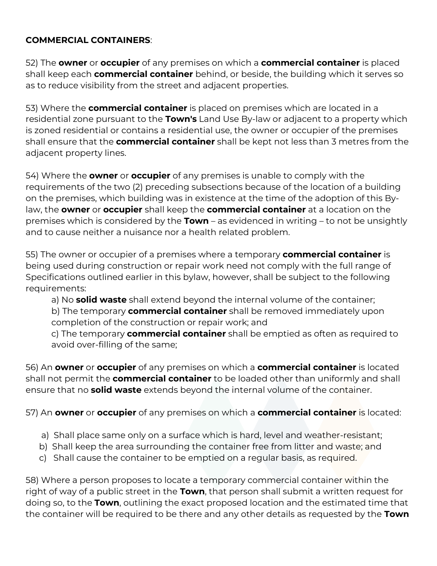### **COMMERCIAL CONTAINERS**:

52) The **owner** or **occupier** of any premises on which a **commercial container** is placed shall keep each **commercial container** behind, or beside, the building which it serves so as to reduce visibility from the street and adjacent properties.

53) Where the **commercial container** is placed on premises which are located in a residential zone pursuant to the **Town's** Land Use By‐law or adjacent to a property which is zoned residential or contains a residential use, the owner or occupier of the premises shall ensure that the **commercial container** shall be kept not less than 3 metres from the adjacent property lines.

54) Where the **owner** or **occupier** of any premises is unable to comply with the requirements of the two (2) preceding subsections because of the location of a building on the premises, which building was in existence at the time of the adoption of this By‐ law, the **owner** or **occupier** shall keep the **commercial container** at a location on the premises which is considered by the **Town** – as evidenced in writing – to not be unsightly and to cause neither a nuisance nor a health related problem.

55) The owner or occupier of a premises where a temporary **commercial container** is being used during construction or repair work need not comply with the full range of Specifications outlined earlier in this bylaw, however, shall be subject to the following requirements:

a) No **solid waste** shall extend beyond the internal volume of the container; b) The temporary **commercial container** shall be removed immediately upon completion of the construction or repair work; and

c) The temporary **commercial container** shall be emptied as often as required to avoid over-filling of the same;

56) An **owner** or **occupier** of any premises on which a **commercial container** is located shall not permit the **commercial container** to be loaded other than uniformly and shall ensure that no **solid waste** extends beyond the internal volume of the container.

57) An **owner** or **occupier** of any premises on which a **commercial container** is located:

- a) Shall place same only on a surface which is hard, level and weather‐resistant;
- b) Shall keep the area surrounding the container free from litter and waste; and
- c) Shall cause the container to be emptied on a regular basis, as required.

58) Where a person proposes to locate a temporary commercial container within the right of way of a public street in the **Town**, that person shall submit a written request for doing so, to the **Town**, outlining the exact proposed location and the estimated time that the container will be required to be there and any other details as requested by the **Town**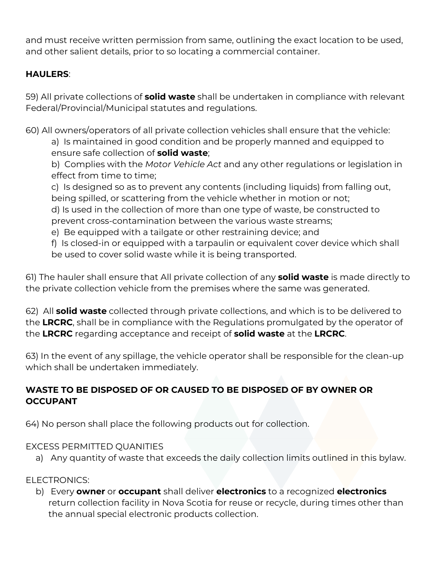and must receive written permission from same, outlining the exact location to be used, and other salient details, prior to so locating a commercial container.

# **HAULERS**:

59) All private collections of **solid waste** shall be undertaken in compliance with relevant Federal/Provincial/Municipal statutes and regulations.

60) All owners/operators of all private collection vehicles shall ensure that the vehicle: a) Is maintained in good condition and be properly manned and equipped to ensure safe collection of **solid waste**;

b) Complies with the *Motor Vehicle Act* and any other regulations or legislation in effect from time to time;

c) Is designed so as to prevent any contents (including liquids) from falling out, being spilled, or scattering from the vehicle whether in motion or not;

d) Is used in the collection of more than one type of waste, be constructed to prevent cross‐contamination between the various waste streams;

e) Be equipped with a tailgate or other restraining device; and

f) Is closed‐in or equipped with a tarpaulin or equivalent cover device which shall be used to cover solid waste while it is being transported.

61) The hauler shall ensure that All private collection of any **solid waste** is made directly to the private collection vehicle from the premises where the same was generated.

62) All **solid waste** collected through private collections, and which is to be delivered to the **LRCRC**, shall be in compliance with the Regulations promulgated by the operator of the **LRCRC** regarding acceptance and receipt of **solid waste** at the **LRCRC**.

63) In the event of any spillage, the vehicle operator shall be responsible for the clean‐up which shall be undertaken immediately.

# **WASTE TO BE DISPOSED OF OR CAUSED TO BE DISPOSED OF BY OWNER OR OCCUPANT**

64) No person shall place the following products out for collection.

# EXCESS PERMITTED QUANITIES

a) Any quantity of waste that exceeds the daily collection limits outlined in this bylaw.

# ELECTRONICS:

b) Every **owner** or **occupant** shall deliver **electronics** to a recognized **electronics** return collection facility in Nova Scotia for reuse or recycle, during times other than the annual special electronic products collection.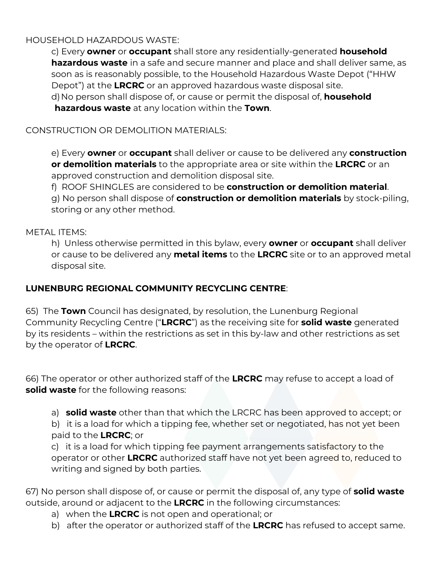## HOUSEHOLD HAZARDOUS WASTE:

c) Every **owner** or **occupant** shall store any residentially‐generated **household hazardous waste** in a safe and secure manner and place and shall deliver same, as soon as is reasonably possible, to the Household Hazardous Waste Depot ("HHW Depot") at the **LRCRC** or an approved hazardous waste disposal site. d)No person shall dispose of, or cause or permit the disposal of, **household hazardous waste** at any location within the **Town**.

CONSTRUCTION OR DEMOLITION MATERIALS:

e) Every **owner** or **occupant** shall deliver or cause to be delivered any **construction or demolition materials** to the appropriate area or site within the **LRCRC** or an approved construction and demolition disposal site.

f) ROOF SHINGLES are considered to be **construction or demolition material**.

g) No person shall dispose of **construction or demolition materials** by stock‐piling, storing or any other method.

### METAL ITEMS:

h) Unless otherwise permitted in this bylaw, every **owner** or **occupant** shall deliver or cause to be delivered any **metal items** to the **LRCRC** site or to an approved metal disposal site.

### **LUNENBURG REGIONAL COMMUNITY RECYCLING CENTRE**:

65) The **Town** Council has designated, by resolution, the Lunenburg Regional Community Recycling Centre ("**LRCRC**") as the receiving site for **solid waste** generated by its residents – within the restrictions as set in this by‐law and other restrictions as set by the operator of **LRCRC**.

66) The operator or other authorized staff of the **LRCRC** may refuse to accept a load of **solid waste** for the following reasons:

a) **solid waste** other than that which the LRCRC has been approved to accept; or

b) it is a load for which a tipping fee, whether set or negotiated, has not yet been paid to the **LRCRC**; or

c) it is a load for which tipping fee payment arrangements satisfactory to the operator or other **LRCRC** authorized staff have not yet been agreed to, reduced to writing and signed by both parties.

67) No person shall dispose of, or cause or permit the disposal of, any type of **solid waste** outside, around or adjacent to the **LRCRC** in the following circumstances:

- a) when the **LRCRC** is not open and operational; or
- b) after the operator or authorized staff of the **LRCRC** has refused to accept same.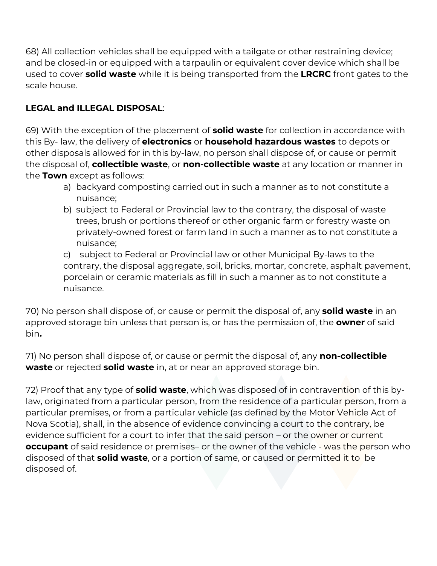68) All collection vehicles shall be equipped with a tailgate or other restraining device; and be closed‐in or equipped with a tarpaulin or equivalent cover device which shall be used to cover **solid waste** while it is being transported from the **LRCRC** front gates to the scale house.

# **LEGAL and ILLEGAL DISPOSAL**:

69) With the exception of the placement of **solid waste** for collection in accordance with this By‐ law, the delivery of **electronics** or **household hazardous wastes** to depots or other disposals allowed for in this by‐law, no person shall dispose of, or cause or permit the disposal of, **collectible waste**, or **non‐collectible waste** at any location or manner in the **Town** except as follows:

- a) backyard composting carried out in such a manner as to not constitute a nuisance;
- b) subject to Federal or Provincial law to the contrary, the disposal of waste trees, brush or portions thereof or other organic farm or forestry waste on privately‐owned forest or farm land in such a manner as to not constitute a nuisance;

c) subject to Federal or Provincial law or other Municipal By‐laws to the contrary, the disposal aggregate, soil, bricks, mortar, concrete, asphalt pavement, porcelain or ceramic materials as fill in such a manner as to not constitute a nuisance.

70) No person shall dispose of, or cause or permit the disposal of, any **solid waste** in an approved storage bin unless that person is, or has the permission of, the **owner** of said bin**.** 

71) No person shall dispose of, or cause or permit the disposal of, any **non‐collectible waste** or rejected **solid waste** in, at or near an approved storage bin.

72) Proof that any type of **solid waste**, which was disposed of in contravention of this bylaw, originated from a particular person, from the residence of a particular person, from a particular premises, or from a particular vehicle (as defined by the Motor Vehicle Act of Nova Scotia), shall, in the absence of evidence convincing a court to the contrary, be evidence sufficient for a court to infer that the said person – or the owner or current **occupant** of said residence or premises– or the owner of the vehicle - was the person who disposed of that **solid waste**, or a portion of same, or caused or permitted it to be disposed of.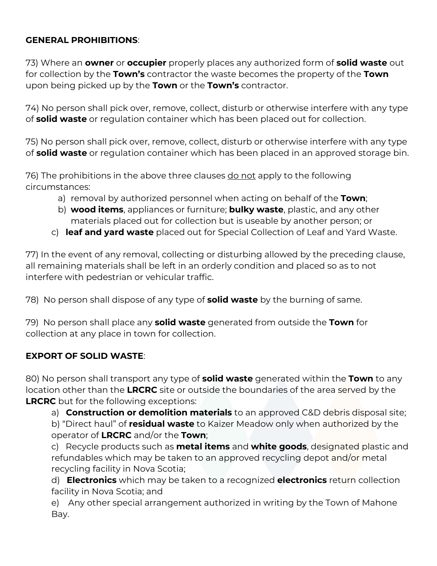## **GENERAL PROHIBITIONS**:

73) Where an **owner** or **occupier** properly places any authorized form of **solid waste** out for collection by the **Town's** contractor the waste becomes the property of the **Town** upon being picked up by the **Town** or the **Town's** contractor.

74) No person shall pick over, remove, collect, disturb or otherwise interfere with any type of **solid waste** or regulation container which has been placed out for collection.

75) No person shall pick over, remove, collect, disturb or otherwise interfere with any type of **solid waste** or regulation container which has been placed in an approved storage bin.

76) The prohibitions in the above three clauses do not apply to the following circumstances:

- a) removal by authorized personnel when acting on behalf of the **Town**;
- b) **wood items**, appliances or furniture; **bulky waste**, plastic, and any other materials placed out for collection but is useable by another person; or
- c) **leaf and yard waste** placed out for Special Collection of Leaf and Yard Waste.

77) In the event of any removal, collecting or disturbing allowed by the preceding clause, all remaining materials shall be left in an orderly condition and placed so as to not interfere with pedestrian or vehicular traffic.

78) No person shall dispose of any type of **solid waste** by the burning of same.

79) No person shall place any **solid waste** generated from outside the **Town** for collection at any place in town for collection.

### **EXPORT OF SOLID WASTE**:

80) No person shall transport any type of **solid waste** generated within the **Town** to any location other than the **LRCRC** site or outside the boundaries of the area served by the **LRCRC** but for the following exceptions:

a) **Construction or demolition materials** to an approved C&D debris disposal site;

b) "Direct haul" of **residual waste** to Kaizer Meadow only when authorized by the operator of **LRCRC** and/or the **Town**;

c) Recycle products such as **metal items** and **white goods**, designated plastic and refundables which may be taken to an approved recycling depot and/or metal recycling facility in Nova Scotia;

d) **Electronics** which may be taken to a recognized **electronics** return collection facility in Nova Scotia; and

e) Any other special arrangement authorized in writing by the Town of Mahone Bay.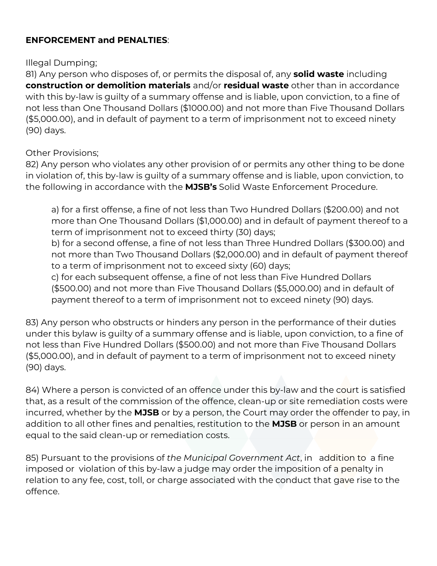### **ENFORCEMENT and PENALTIES**:

#### Illegal Dumping;

81) Any person who disposes of, or permits the disposal of, any **solid waste** including **construction or demolition materials** and/or **residual waste** other than in accordance with this by-law is quilty of a summary offense and is liable, upon conviction, to a fine of not less than One Thousand Dollars (\$1000.00) and not more than Five Thousand Dollars (\$5,000.00), and in default of payment to a term of imprisonment not to exceed ninety (90) days.

### Other Provisions;

82) Any person who violates any other provision of or permits any other thing to be done in violation of, this by‐law is guilty of a summary offense and is liable, upon conviction, to the following in accordance with the **MJSB's** Solid Waste Enforcement Procedure.

a) for a first offense, a fine of not less than Two Hundred Dollars (\$200.00) and not more than One Thousand Dollars (\$1,000.00) and in default of payment thereof to a term of imprisonment not to exceed thirty (30) days;

b) for a second offense, a fine of not less than Three Hundred Dollars (\$300.00) and not more than Two Thousand Dollars (\$2,000.00) and in default of payment thereof to a term of imprisonment not to exceed sixty (60) days;

c) for each subsequent offense, a fine of not less than Five Hundred Dollars (\$500.00) and not more than Five Thousand Dollars (\$5,000.00) and in default of payment thereof to a term of imprisonment not to exceed ninety (90) days.

83) Any person who obstructs or hinders any person in the performance of their duties under this bylaw is guilty of a summary offense and is liable, upon conviction, to a fine of not less than Five Hundred Dollars (\$500.00) and not more than Five Thousand Dollars (\$5,000.00), and in default of payment to a term of imprisonment not to exceed ninety (90) days.

84) Where a person is convicted of an offence under this by-law and the court is satisfied that, as a result of the commission of the offence, clean‐up or site remediation costs were incurred, whether by the **MJSB** or by a person, the Court may order the offender to pay, in addition to all other fines and penalties, restitution to the **MJSB** or person in an amount equal to the said clean‐up or remediation costs.

85) Pursuant to the provisions of *the Municipal Government Act*, in addition to a fine imposed or violation of this by-law a judge may order the imposition of a penalty in relation to any fee, cost, toll, or charge associated with the conduct that gave rise to the offence.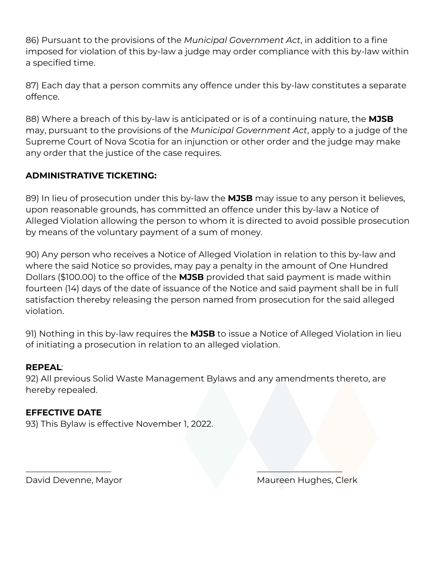86) Pursuant to the provisions of the *Municipal Government Act*, in addition to a fine imposed for violation of this by‐law a judge may order compliance with this by‐law within a specified time.

87) Each day that a person commits any offence under this by‐law constitutes a separate offence.

88) Where a breach of this by‐law is anticipated or is of a continuing nature, the **MJSB** may, pursuant to the provisions of the *Municipal Government Act*, apply to a judge of the Supreme Court of Nova Scotia for an injunction or other order and the judge may make any order that the justice of the case requires.

## **ADMINISTRATIVE TICKETING:**

89) In lieu of prosecution under this by‐law the **MJSB** may issue to any person it believes, upon reasonable grounds, has committed an offence under this by‐law a Notice of Alleged Violation allowing the person to whom it is directed to avoid possible prosecution by means of the voluntary payment of a sum of money.

90) Any person who receives a Notice of Alleged Violation in relation to this by‐law and where the said Notice so provides, may pay a penalty in the amount of One Hundred Dollars (\$100.00) to the office of the **MJSB** provided that said payment is made within fourteen (14) days of the date of issuance of the Notice and said payment shall be in full satisfaction thereby releasing the person named from prosecution for the said alleged violation.

91) Nothing in this by‐law requires the **MJSB** to issue a Notice of Alleged Violation in lieu of initiating a prosecution in relation to an alleged violation.

### **REPEAL**:

92) All previous Solid Waste Management Bylaws and any amendments thereto, are hereby repealed.

 $\overline{\phantom{a}}$  , and the contract of the contract of the contract of the contract of the contract of the contract of the contract of the contract of the contract of the contract of the contract of the contract of the contrac

### **EFFECTIVE DATE**

93) This Bylaw is effective November 1, 2022.

David Devenne, Mayor Manus (Maureen Hughes, Clerk